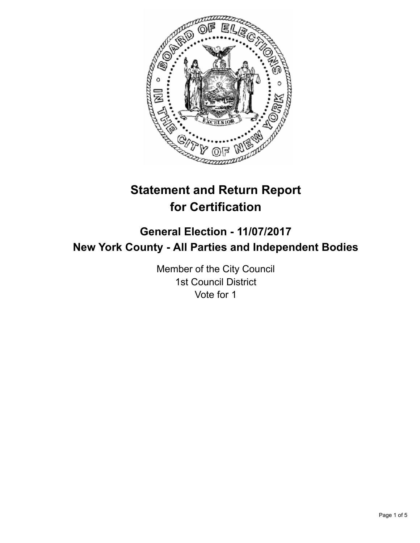

# **Statement and Return Report for Certification**

## **General Election - 11/07/2017 New York County - All Parties and Independent Bodies**

Member of the City Council 1st Council District Vote for 1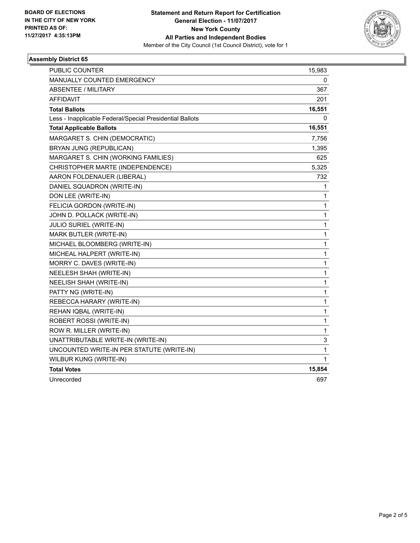

### **Assembly District 65**

| PUBLIC COUNTER                                           | 15,983 |
|----------------------------------------------------------|--------|
| MANUALLY COUNTED EMERGENCY                               | 0      |
| <b>ABSENTEE / MILITARY</b>                               | 367    |
| <b>AFFIDAVIT</b>                                         | 201    |
| <b>Total Ballots</b>                                     | 16,551 |
| Less - Inapplicable Federal/Special Presidential Ballots | 0      |
| <b>Total Applicable Ballots</b>                          | 16,551 |
| MARGARET S. CHIN (DEMOCRATIC)                            | 7,756  |
| BRYAN JUNG (REPUBLICAN)                                  | 1,395  |
| MARGARET S. CHIN (WORKING FAMILIES)                      | 625    |
| CHRISTOPHER MARTE (INDEPENDENCE)                         | 5,325  |
| AARON FOLDENAUER (LIBERAL)                               | 732    |
| DANIEL SQUADRON (WRITE-IN)                               | 1      |
| DON LEE (WRITE-IN)                                       | 1      |
| FELICIA GORDON (WRITE-IN)                                | 1      |
| JOHN D. POLLACK (WRITE-IN)                               | 1      |
| <b>JULIO SURIEL (WRITE-IN)</b>                           | 1      |
| MARK BUTLER (WRITE-IN)                                   | 1      |
| MICHAEL BLOOMBERG (WRITE-IN)                             | 1      |
| MICHEAL HALPERT (WRITE-IN)                               | 1      |
| MORRY C. DAVES (WRITE-IN)                                | 1      |
| NEELESH SHAH (WRITE-IN)                                  | 1      |
| <b>NEELISH SHAH (WRITE-IN)</b>                           | 1      |
| PATTY NG (WRITE-IN)                                      | 1      |
| REBECCA HARARY (WRITE-IN)                                | 1      |
| REHAN IQBAL (WRITE-IN)                                   | 1      |
| ROBERT ROSSI (WRITE-IN)                                  | 1      |
| ROW R. MILLER (WRITE-IN)                                 | 1      |
| UNATTRIBUTABLE WRITE-IN (WRITE-IN)                       | 3      |
| UNCOUNTED WRITE-IN PER STATUTE (WRITE-IN)                | 1      |
| WILBUR KUNG (WRITE-IN)                                   | 1      |
| <b>Total Votes</b>                                       | 15,854 |
| Unrecorded                                               | 697    |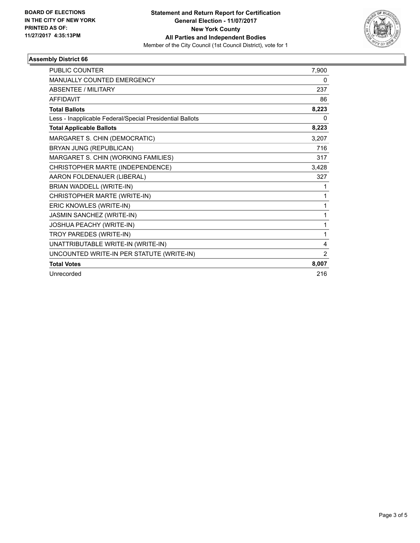

### **Assembly District 66**

| PUBLIC COUNTER                                           | 7,900          |
|----------------------------------------------------------|----------------|
| MANUALLY COUNTED EMERGENCY                               | 0              |
| <b>ABSENTEE / MILITARY</b>                               | 237            |
| <b>AFFIDAVIT</b>                                         | 86             |
| <b>Total Ballots</b>                                     | 8,223          |
| Less - Inapplicable Federal/Special Presidential Ballots | 0              |
| <b>Total Applicable Ballots</b>                          | 8,223          |
| MARGARET S. CHIN (DEMOCRATIC)                            | 3,207          |
| BRYAN JUNG (REPUBLICAN)                                  | 716            |
| MARGARET S. CHIN (WORKING FAMILIES)                      | 317            |
| CHRISTOPHER MARTE (INDEPENDENCE)                         | 3,428          |
| AARON FOLDENAUER (LIBERAL)                               | 327            |
| BRIAN WADDELL (WRITE-IN)                                 | 1              |
| CHRISTOPHER MARTE (WRITE-IN)                             | 1              |
| ERIC KNOWLES (WRITE-IN)                                  | 1              |
| JASMIN SANCHEZ (WRITE-IN)                                | 1              |
| JOSHUA PEACHY (WRITE-IN)                                 | 1              |
| TROY PAREDES (WRITE-IN)                                  | 1              |
| UNATTRIBUTABLE WRITE-IN (WRITE-IN)                       | 4              |
| UNCOUNTED WRITE-IN PER STATUTE (WRITE-IN)                | $\overline{2}$ |
| <b>Total Votes</b>                                       | 8,007          |
| Unrecorded                                               | 216            |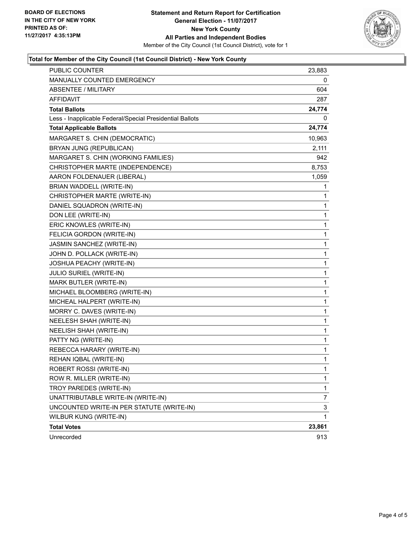

### **Total for Member of the City Council (1st Council District) - New York County**

| <b>PUBLIC COUNTER</b>                                    | 23,883       |
|----------------------------------------------------------|--------------|
| MANUALLY COUNTED EMERGENCY                               | 0            |
| <b>ABSENTEE / MILITARY</b>                               | 604          |
| <b>AFFIDAVIT</b>                                         | 287          |
| <b>Total Ballots</b>                                     | 24,774       |
| Less - Inapplicable Federal/Special Presidential Ballots | 0            |
| <b>Total Applicable Ballots</b>                          | 24,774       |
| MARGARET S. CHIN (DEMOCRATIC)                            | 10,963       |
| BRYAN JUNG (REPUBLICAN)                                  | 2,111        |
| MARGARET S. CHIN (WORKING FAMILIES)                      | 942          |
| CHRISTOPHER MARTE (INDEPENDENCE)                         | 8,753        |
| AARON FOLDENAUER (LIBERAL)                               | 1,059        |
| BRIAN WADDELL (WRITE-IN)                                 | 1            |
| CHRISTOPHER MARTE (WRITE-IN)                             | 1            |
| DANIEL SQUADRON (WRITE-IN)                               | 1            |
| DON LEE (WRITE-IN)                                       | 1            |
| ERIC KNOWLES (WRITE-IN)                                  | 1            |
| FELICIA GORDON (WRITE-IN)                                | 1            |
| JASMIN SANCHEZ (WRITE-IN)                                | 1            |
| JOHN D. POLLACK (WRITE-IN)                               | 1            |
| JOSHUA PEACHY (WRITE-IN)                                 | $\mathbf{1}$ |
| <b>JULIO SURIEL (WRITE-IN)</b>                           | 1            |
| MARK BUTLER (WRITE-IN)                                   | 1            |
| MICHAEL BLOOMBERG (WRITE-IN)                             | 1            |
| MICHEAL HALPERT (WRITE-IN)                               | 1            |
| MORRY C. DAVES (WRITE-IN)                                | 1            |
| NEELESH SHAH (WRITE-IN)                                  | $\mathbf{1}$ |
| <b>NEELISH SHAH (WRITE-IN)</b>                           | 1            |
| PATTY NG (WRITE-IN)                                      | 1            |
| REBECCA HARARY (WRITE-IN)                                | 1            |
| REHAN IQBAL (WRITE-IN)                                   | 1            |
| ROBERT ROSSI (WRITE-IN)                                  | 1            |
| ROW R. MILLER (WRITE-IN)                                 | 1            |
| TROY PAREDES (WRITE-IN)                                  | 1            |
| UNATTRIBUTABLE WRITE-IN (WRITE-IN)                       | 7            |
| UNCOUNTED WRITE-IN PER STATUTE (WRITE-IN)                | 3            |
| WILBUR KUNG (WRITE-IN)                                   | 1            |
| <b>Total Votes</b>                                       | 23,861       |
| Unrecorded                                               | 913          |